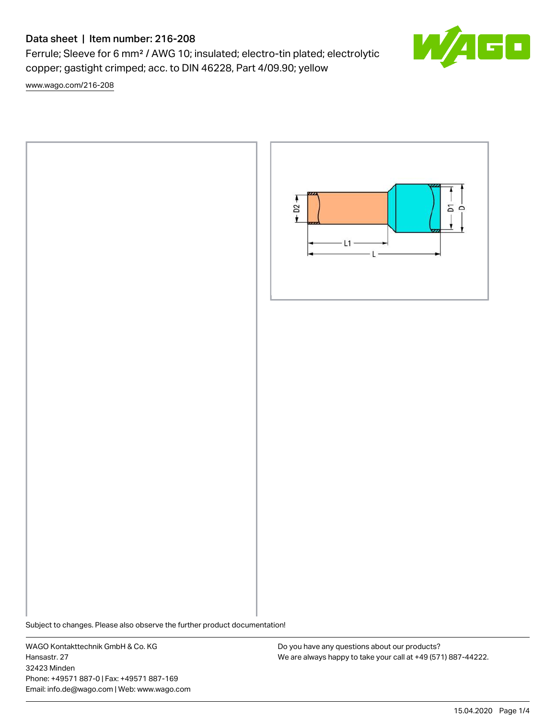# Data sheet | Item number: 216-208

Ferrule; Sleeve for 6 mm² / AWG 10; insulated; electro-tin plated; electrolytic copper; gastight crimped; acc. to DIN 46228, Part 4/09.90; yellow

[www.wago.com/216-208](http://www.wago.com/216-208)



Subject to changes. Please also observe the further product documentation!

WAGO Kontakttechnik GmbH & Co. KG Hansastr. 27 32423 Minden Phone: +49571 887-0 | Fax: +49571 887-169 Email: info.de@wago.com | Web: www.wago.com

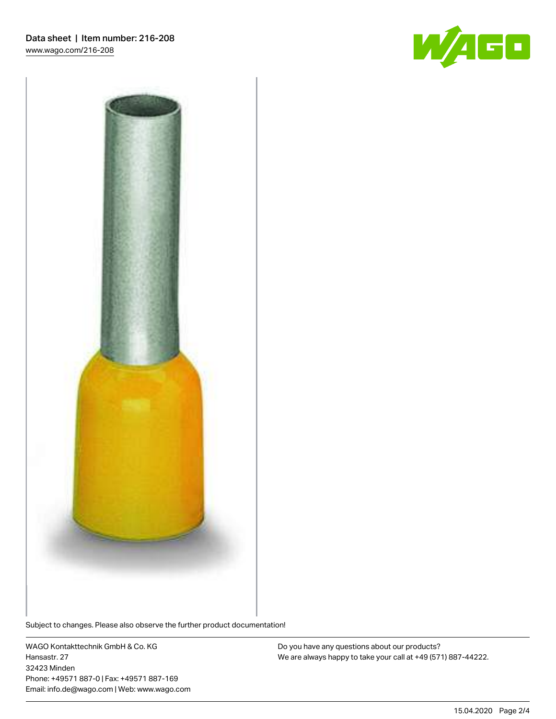



Subject to changes. Please also observe the further product documentation!

WAGO Kontakttechnik GmbH & Co. KG Hansastr. 27 32423 Minden Phone: +49571 887-0 | Fax: +49571 887-169 Email: info.de@wago.com | Web: www.wago.com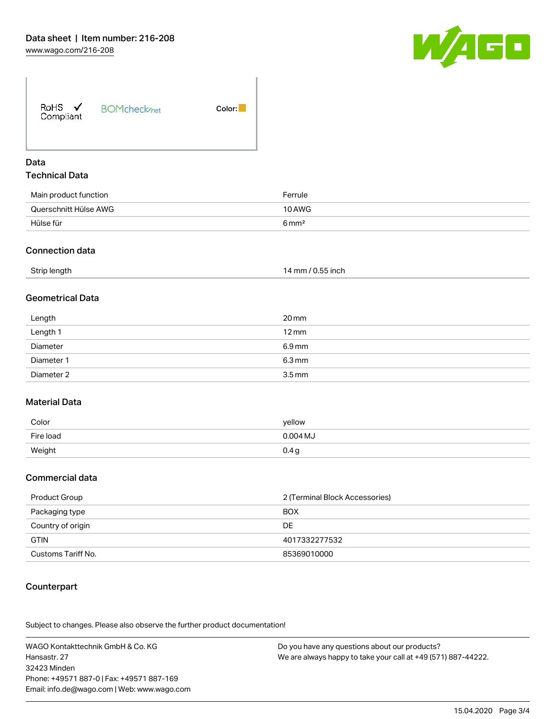

| RoHS $\checkmark$<br>Compliant | <b>BOMcheck</b> /net | Color: |
|--------------------------------|----------------------|--------|
|                                |                      |        |

### Data Technical Data

| Main product function | Ferrule          |
|-----------------------|------------------|
| Querschnitt Hülse AWG | 10 AWG           |
| Hülse für             | $6 \text{ mm}^2$ |

#### Connection data

| Strip length | 14 mm / 0.55 inch |
|--------------|-------------------|
|--------------|-------------------|

### Geometrical Data

| Length     | 20 mm               |
|------------|---------------------|
| Length 1   | $12 \,\mathrm{mm}$  |
| Diameter   | 6.9 mm              |
| Diameter 1 | $6.3 \,\mathrm{mm}$ |
| Diameter 2 | $3.5 \,\mathrm{mm}$ |

### Material Data

| Color     | yellow     |
|-----------|------------|
| Fire load | $0.004$ MJ |
| Weight    | 0.4 g      |

#### Commercial data

| Product Group      | 2 (Terminal Block Accessories) |
|--------------------|--------------------------------|
| Packaging type     | <b>BOX</b>                     |
| Country of origin  | DE                             |
| <b>GTIN</b>        | 4017332277532                  |
| Customs Tariff No. | 85369010000                    |

### **Counterpart**

.<br>Subject to changes. Please also observe the further product documentation!

WAGO Kontakttechnik GmbH & Co. KG Hansastr. 27 32423 Minden Phone: +49571 887-0 | Fax: +49571 887-169 Email: info.de@wago.com | Web: www.wago.com